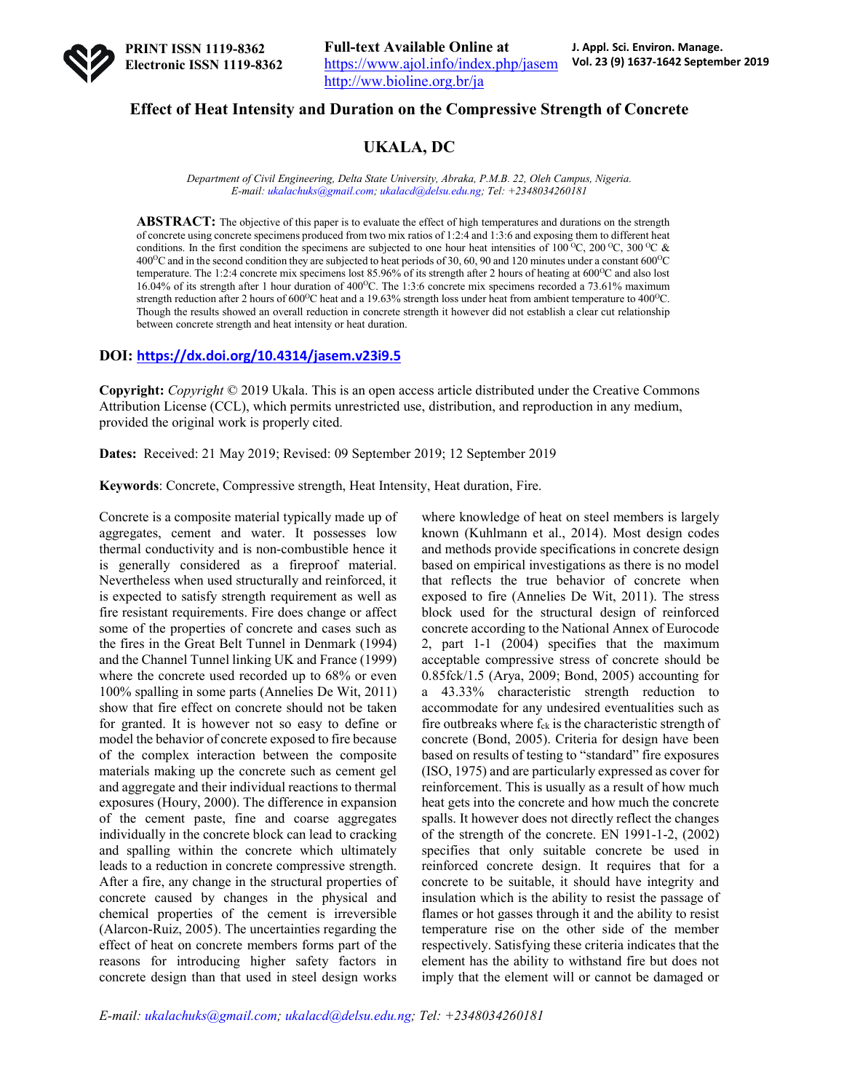

## **Effect of Heat Intensity and Duration on the Compressive Strength of Concrete**

# **UKALA, DC**

*Department of Civil Engineering, Delta State University, Abraka, P.M.B. 22, Oleh Campus, Nigeria. E-mail: ukalachuks@gmail.com; ukalacd@delsu.edu.ng; Tel: +2348034260181*

**ABSTRACT:** The objective of this paper is to evaluate the effect of high temperatures and durations on the strength of concrete using concrete specimens produced from two mix ratios of 1:2:4 and 1:3:6 and exposing them to different heat conditions. In the first condition the specimens are subjected to one hour heat intensities of 100 <sup>o</sup>C, 200 <sup>o</sup>C, 300 <sup>o</sup>C &  $400^{\circ}$ C and in the second condition they are subjected to heat periods of 30, 60, 90 and 120 minutes under a constant 600 $^{\circ}$ C temperature. The 1:2:4 concrete mix specimens lost 85.96% of its strength after 2 hours of heating at 600°C and also lost 16.04% of its strength after 1 hour duration of 400°C. The 1:3:6 concrete mix specimens recorded a 73.61% maximum strength reduction after 2 hours of  $600^{\circ}$ C heat and a 19.63% strength loss under heat from ambient temperature to  $400^{\circ}$ C. Though the results showed an overall reduction in concrete strength it however did not establish a clear cut relationship between concrete strength and heat intensity or heat duration.

## **DOI: https://dx.doi.org/10.4314/jasem.v23i9.5**

**Copyright:** *Copyright* © 2019 Ukala. This is an open access article distributed under the Creative Commons Attribution License (CCL), which permits unrestricted use, distribution, and reproduction in any medium, provided the original work is properly cited.

**Dates:** Received: 21 May 2019; Revised: 09 September 2019; 12 September 2019

**Keywords**: Concrete, Compressive strength, Heat Intensity, Heat duration, Fire.

Concrete is a composite material typically made up of aggregates, cement and water. It possesses low thermal conductivity and is non-combustible hence it is generally considered as a fireproof material. Nevertheless when used structurally and reinforced, it is expected to satisfy strength requirement as well as fire resistant requirements. Fire does change or affect some of the properties of concrete and cases such as the fires in the Great Belt Tunnel in Denmark (1994) and the Channel Tunnel linking UK and France (1999) where the concrete used recorded up to 68% or even 100% spalling in some parts (Annelies De Wit, 2011) show that fire effect on concrete should not be taken for granted. It is however not so easy to define or model the behavior of concrete exposed to fire because of the complex interaction between the composite materials making up the concrete such as cement gel and aggregate and their individual reactions to thermal exposures (Houry, 2000). The difference in expansion of the cement paste, fine and coarse aggregates individually in the concrete block can lead to cracking and spalling within the concrete which ultimately leads to a reduction in concrete compressive strength. After a fire, any change in the structural properties of concrete caused by changes in the physical and chemical properties of the cement is irreversible (Alarcon-Ruiz, 2005). The uncertainties regarding the effect of heat on concrete members forms part of the reasons for introducing higher safety factors in concrete design than that used in steel design works

where knowledge of heat on steel members is largely known (Kuhlmann et al., 2014). Most design codes and methods provide specifications in concrete design based on empirical investigations as there is no model that reflects the true behavior of concrete when exposed to fire (Annelies De Wit, 2011). The stress block used for the structural design of reinforced concrete according to the National Annex of Eurocode 2, part 1-1 (2004) specifies that the maximum acceptable compressive stress of concrete should be 0.85fck/1.5 (Arya, 2009; Bond, 2005) accounting for a 43.33% characteristic strength reduction to accommodate for any undesired eventualities such as fire outbreaks where  $f_{ck}$  is the characteristic strength of concrete (Bond, 2005). Criteria for design have been based on results of testing to "standard" fire exposures (ISO, 1975) and are particularly expressed as cover for reinforcement. This is usually as a result of how much heat gets into the concrete and how much the concrete spalls. It however does not directly reflect the changes of the strength of the concrete. EN 1991-1-2, (2002) specifies that only suitable concrete be used in reinforced concrete design. It requires that for a concrete to be suitable, it should have integrity and insulation which is the ability to resist the passage of flames or hot gasses through it and the ability to resist temperature rise on the other side of the member respectively. Satisfying these criteria indicates that the element has the ability to withstand fire but does not imply that the element will or cannot be damaged or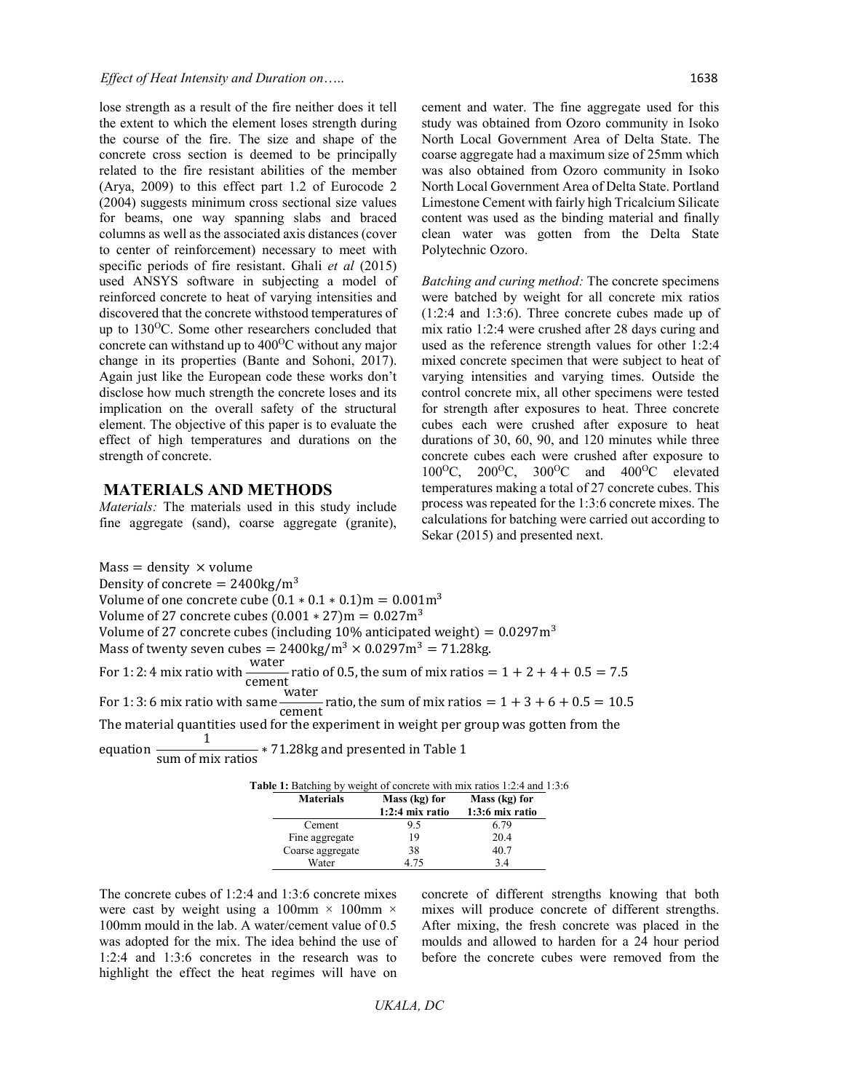lose strength as a result of the fire neither does it tell the extent to which the element loses strength during the course of the fire. The size and shape of the concrete cross section is deemed to be principally related to the fire resistant abilities of the member (Arya, 2009) to this effect part 1.2 of Eurocode 2 (2004) suggests minimum cross sectional size values for beams, one way spanning slabs and braced columns as well as the associated axis distances (cover to center of reinforcement) necessary to meet with specific periods of fire resistant. Ghali *et al* (2015) used ANSYS software in subjecting a model of reinforced concrete to heat of varying intensities and discovered that the concrete withstood temperatures of up to 130<sup>o</sup>C. Some other researchers concluded that concrete can withstand up to  $400^{\circ}$ C without any major change in its properties (Bante and Sohoni, 2017). Again just like the European code these works don't disclose how much strength the concrete loses and its implication on the overall safety of the structural element. The objective of this paper is to evaluate the effect of high temperatures and durations on the strength of concrete.

#### **MATERIALS AND METHODS**

*Materials:* The materials used in this study include fine aggregate (sand), coarse aggregate (granite),

cement and water. The fine aggregate used for this study was obtained from Ozoro community in Isoko North Local Government Area of Delta State. The coarse aggregate had a maximum size of 25mm which was also obtained from Ozoro community in Isoko North Local Government Area of Delta State. Portland Limestone Cement with fairly high Tricalcium Silicate content was used as the binding material and finally clean water was gotten from the Delta State Polytechnic Ozoro.

*Batching and curing method:* The concrete specimens were batched by weight for all concrete mix ratios (1:2:4 and 1:3:6). Three concrete cubes made up of mix ratio 1:2:4 were crushed after 28 days curing and used as the reference strength values for other 1:2:4 mixed concrete specimen that were subject to heat of varying intensities and varying times. Outside the control concrete mix, all other specimens were tested for strength after exposures to heat. Three concrete cubes each were crushed after exposure to heat durations of 30, 60, 90, and 120 minutes while three concrete cubes each were crushed after exposure to  $100^{\circ}$ C,  $200^{\circ}$ C,  $300^{\circ}$ C and  $400^{\circ}$ C elevated temperatures making a total of 27 concrete cubes. This process was repeated for the 1:3:6 concrete mixes. The calculations for batching were carried out according to Sekar (2015) and presented next.

 $Mass = density \times volume$ Density of concrete =  $2400\text{kg/m}^3$ Volume of one concrete cube  $(0.1 * 0.1 * 0.1)$ m =  $0.001$ m<sup>3</sup> Volume of 27 concrete cubes  $(0.001 * 27)$ m = 0.027m<sup>3</sup> Volume of 27 concrete cubes (including 10% anticipated weight) =  $0.0297m<sup>3</sup>$ Mass of twenty seven cubes =  $2400 \text{kg/m}^3 \times 0.0297 \text{m}^3 = 71.28 \text{kg}$ . For 1: 2: 4 mix ratio with <u>water</u> cement ratio of 0.5, the sum of mix ratios  $= 1 + 2 + 4 + 0.5 = 7.5$ For 1: 3: 6 mix ratio with same water  $\frac{12000}{12000}$  ratio, the sum of mix ratios =  $1 + 3 + 6 + 0.5 = 10.5$ The material quantities used for the experiment in weight per group was gotten from the equation  $\frac{1}{\text{sum of mix ratios}} * 71.28 \text{kg}$  and presented in Table 1

| <b>Table 1:</b> Batching by weight of concrete with mix ratios 1:2:4 and 1:3:6 |                                    |                                    |  |  |  |  |
|--------------------------------------------------------------------------------|------------------------------------|------------------------------------|--|--|--|--|
| <b>Materials</b>                                                               | Mass (kg) for<br>$1:2:4$ mix ratio | Mass (kg) for<br>$1:3:6$ mix ratio |  |  |  |  |
| Cement                                                                         | 9.5                                | 6.79                               |  |  |  |  |
| Fine aggregate                                                                 | 19                                 | 20.4                               |  |  |  |  |
| Coarse aggregate                                                               | 38                                 | 40.7                               |  |  |  |  |
| Water                                                                          | 4.75                               | 3.4                                |  |  |  |  |

The concrete cubes of 1:2:4 and 1:3:6 concrete mixes were cast by weight using a 100mm  $\times$  100mm  $\times$ 100mm mould in the lab. A water/cement value of 0.5 was adopted for the mix. The idea behind the use of 1:2:4 and 1:3:6 concretes in the research was to highlight the effect the heat regimes will have on

concrete of different strengths knowing that both mixes will produce concrete of different strengths. After mixing, the fresh concrete was placed in the moulds and allowed to harden for a 24 hour period before the concrete cubes were removed from the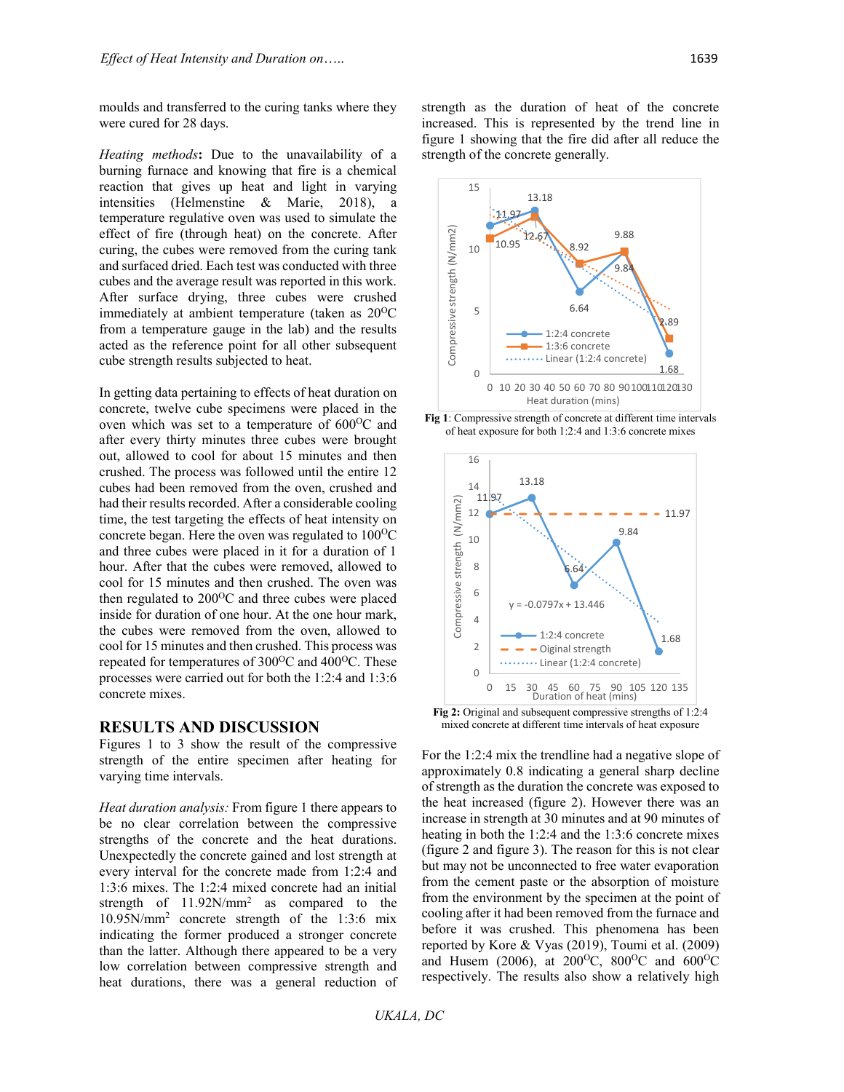moulds and transferred to the curing tanks where they were cured for 28 days.

*Heating methods***:** Due to the unavailability of a burning furnace and knowing that fire is a chemical reaction that gives up heat and light in varying intensities (Helmenstine & Marie, 2018), a temperature regulative oven was used to simulate the effect of fire (through heat) on the concrete. After curing, the cubes were removed from the curing tank and surfaced dried. Each test was conducted with three cubes and the average result was reported in this work. After surface drying, three cubes were crushed immediately at ambient temperature (taken as  $20^{\circ}$ C from a temperature gauge in the lab) and the results acted as the reference point for all other subsequent cube strength results subjected to heat.

In getting data pertaining to effects of heat duration on concrete, twelve cube specimens were placed in the oven which was set to a temperature of 600°C and after every thirty minutes three cubes were brought out, allowed to cool for about 15 minutes and then crushed. The process was followed until the entire 12 cubes had been removed from the oven, crushed and had their results recorded. After a considerable cooling time, the test targeting the effects of heat intensity on concrete began. Here the oven was regulated to  $100^{\circ}$ C and three cubes were placed in it for a duration of 1 hour. After that the cubes were removed, allowed to cool for 15 minutes and then crushed. The oven was then regulated to  $200^{\circ}$ C and three cubes were placed inside for duration of one hour. At the one hour mark, the cubes were removed from the oven, allowed to cool for 15 minutes and then crushed. This process was repeated for temperatures of  $300^{\circ}$ C and  $400^{\circ}$ C. These processes were carried out for both the 1:2:4 and 1:3:6 concrete mixes.

## **RESULTS AND DISCUSSION**

Figures 1 to 3 show the result of the compressive strength of the entire specimen after heating for varying time intervals.

*Heat duration analysis:* From figure 1 there appears to be no clear correlation between the compressive strengths of the concrete and the heat durations. Unexpectedly the concrete gained and lost strength at every interval for the concrete made from 1:2:4 and 1:3:6 mixes. The 1:2:4 mixed concrete had an initial strength of 11.92N/mm2 as compared to the 10.95N/mm2 concrete strength of the 1:3:6 mix indicating the former produced a stronger concrete than the latter. Although there appeared to be a very low correlation between compressive strength and heat durations, there was a general reduction of strength as the duration of heat of the concrete increased. This is represented by the trend line in figure 1 showing that the fire did after all reduce the strength of the concrete generally.



**Fig 1**: Compressive strength of concrete at different time intervals of heat exposure for both 1:2:4 and 1:3:6 concrete mixes



**Fig 2:** Original and subsequent compressive strengths of 1:2:4 mixed concrete at different time intervals of heat exposure

For the 1:2:4 mix the trendline had a negative slope of approximately 0.8 indicating a general sharp decline of strength as the duration the concrete was exposed to the heat increased (figure 2). However there was an increase in strength at 30 minutes and at 90 minutes of heating in both the 1:2:4 and the 1:3:6 concrete mixes (figure 2 and figure 3). The reason for this is not clear but may not be unconnected to free water evaporation from the cement paste or the absorption of moisture from the environment by the specimen at the point of cooling after it had been removed from the furnace and before it was crushed. This phenomena has been reported by Kore & Vyas (2019), Toumi et al. (2009) and Husem (2006), at 200<sup>o</sup>C, 800<sup>o</sup>C and 600<sup>o</sup>C respectively. The results also show a relatively high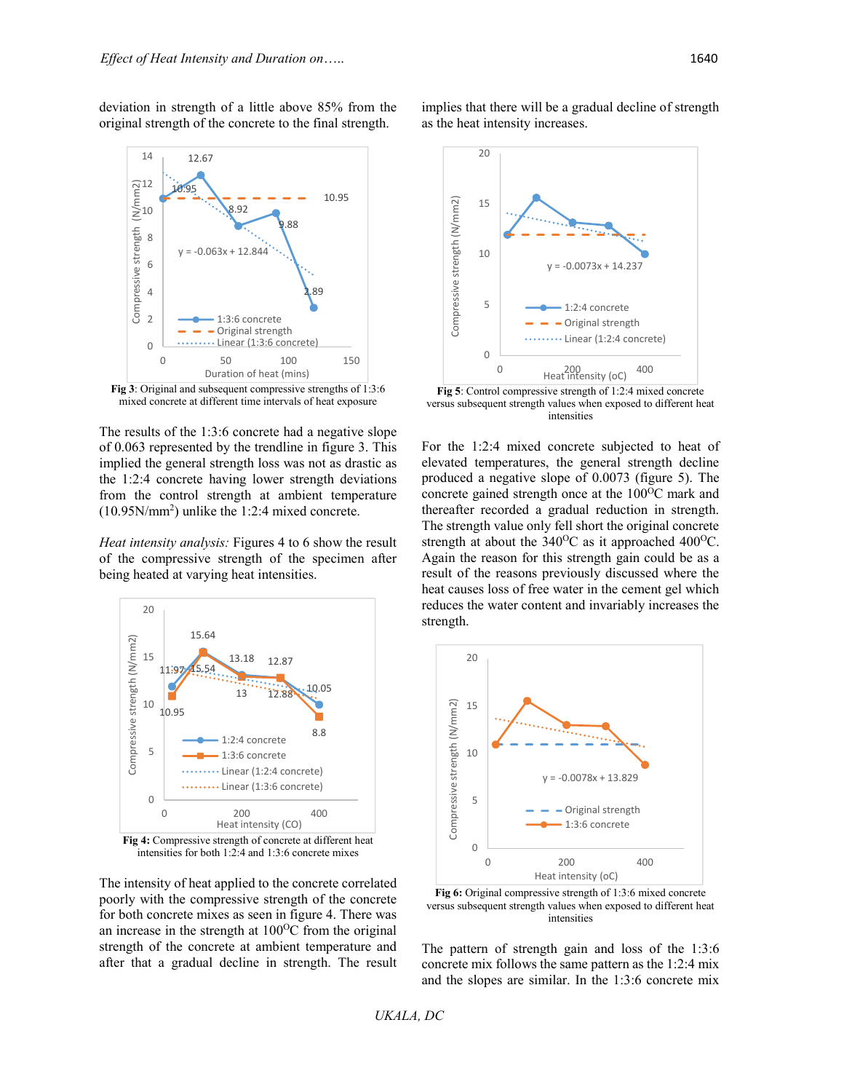deviation in strength of a little above 85% from the original strength of the concrete to the final strength.



**Fig 3**: Original and subsequent compressive strengths of 1:3:6 mixed concrete at different time intervals of heat exposure

The results of the 1:3:6 concrete had a negative slope of 0.063 represented by the trendline in figure 3. This implied the general strength loss was not as drastic as the 1:2:4 concrete having lower strength deviations from the control strength at ambient temperature (10.95N/mm2 ) unlike the 1:2:4 mixed concrete.

*Heat intensity analysis:* Figures 4 to 6 show the result of the compressive strength of the specimen after being heated at varying heat intensities.



intensities for both 1:2:4 and 1:3:6 concrete mixes

The intensity of heat applied to the concrete correlated poorly with the compressive strength of the concrete for both concrete mixes as seen in figure 4. There was an increase in the strength at  $100^{\circ}$ C from the original strength of the concrete at ambient temperature and after that a gradual decline in strength. The result

implies that there will be a gradual decline of strength as the heat intensity increases.



**Fig 5**: Control compressive strength of 1:2:4 mixed concrete versus subsequent strength values when exposed to different heat intensities

For the 1:2:4 mixed concrete subjected to heat of elevated temperatures, the general strength decline produced a negative slope of 0.0073 (figure 5). The concrete gained strength once at the  $100^{\circ}$ C mark and thereafter recorded a gradual reduction in strength. The strength value only fell short the original concrete strength at about the  $340^{\circ}$ C as it approached  $400^{\circ}$ C. Again the reason for this strength gain could be as a result of the reasons previously discussed where the heat causes loss of free water in the cement gel which reduces the water content and invariably increases the strength.



**Fig 6:** Original compressive strength of 1:3:6 mixed concrete versus subsequent strength values when exposed to different heat intensities

The pattern of strength gain and loss of the 1:3:6 concrete mix follows the same pattern as the 1:2:4 mix and the slopes are similar. In the 1:3:6 concrete mix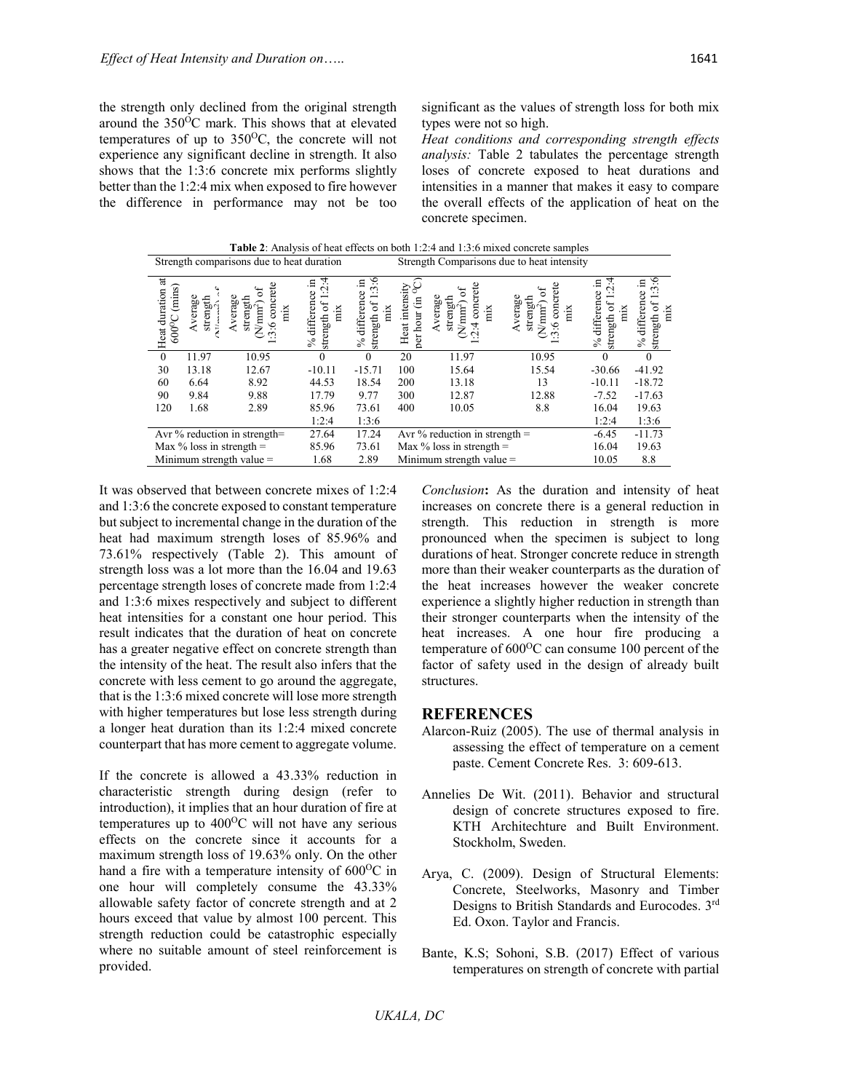the strength only declined from the original strength around the  $350^{\circ}$ C mark. This shows that at elevated temperatures of up to  $350^{\circ}$ C, the concrete will not experience any significant decline in strength. It also shows that the 1:3:6 concrete mix performs slightly better than the 1:2:4 mix when exposed to fire however the difference in performance may not be too

significant as the values of strength loss for both mix types were not so high.

*Heat conditions and corresponding strength effects analysis:* Table 2 tabulates the percentage strength loses of concrete exposed to heat durations and intensities in a manner that makes it easy to compare the overall effects of the application of heat on the concrete specimen.

**Table 2**: Analysis of heat effects on both 1:2:4 and 1:3:6 mixed concrete samples Strength comparisons due to heat duration Strength Comparisons due to heat intensity  $\frac{1}{2}$ 

| $\overline{a}$<br>(mins)<br>duration<br>$600^{\circ}$ C<br>Heat | verage<br>strength | Ĕ<br>strength<br>verage<br>$m^2$<br>con<br>mix | 4<br>- 드<br>$\mathbf{\sim}$<br>g<br>differen<br>7<br>mix<br>strength<br>$\%$ | ७<br>.日<br>3<br>differen<br>5<br>mix<br>strength<br>$\delta$ | intensi<br>日<br>hour<br>Heat<br>per | rete<br>erage<br>strength<br>ن<br>$\text{mm}^2$<br>con<br>mix<br>ä. | verage<br>strength<br>$\text{mm}^2$<br>con<br>mix<br>ڢ<br>ت | 4<br>.⊟<br>$\scriptstyle\sim$<br>differen<br>5<br>тiх<br>strength<br>$\frac{5}{6}$ | ي<br>differen<br>mix<br>strength<br>$\frac{5}{6}$ |
|-----------------------------------------------------------------|--------------------|------------------------------------------------|------------------------------------------------------------------------------|--------------------------------------------------------------|-------------------------------------|---------------------------------------------------------------------|-------------------------------------------------------------|------------------------------------------------------------------------------------|---------------------------------------------------|
| $\theta$                                                        | 11.97              | 10.95                                          |                                                                              | $\Omega$                                                     | 20                                  | 11.97                                                               | 10.95                                                       |                                                                                    |                                                   |
| 30                                                              | 13.18              | 12.67                                          | $-10.11$                                                                     | $-15.71$                                                     | 100                                 | 15.64                                                               | 15.54                                                       | $-30.66$                                                                           | $-41.92$                                          |
| 60                                                              | 6.64               | 8.92                                           | 44.53                                                                        | 18.54                                                        | 200                                 | 13.18                                                               | 13                                                          | $-10.11$                                                                           | $-18.72$                                          |
| 90                                                              | 9.84               | 9.88                                           | 17.79                                                                        | 9.77                                                         | 300                                 | 12.87                                                               | 12.88                                                       | $-7.52$                                                                            | $-17.63$                                          |
| 120                                                             | 1.68               | 2.89                                           | 85.96                                                                        | 73.61                                                        | 400                                 | 10.05                                                               | 8.8                                                         | 16.04                                                                              | 19.63                                             |
|                                                                 |                    |                                                | 1:2:4                                                                        | 1:3:6                                                        |                                     |                                                                     |                                                             | 1:2:4                                                                              | 1:3:6                                             |
| Avr % reduction in strength=                                    |                    | 27.64                                          | 17.24                                                                        | Avr $\%$ reduction in strength =                             |                                     | $-6.45$                                                             | $-11.73$                                                    |                                                                                    |                                                   |
| Max $\%$ loss in strength =                                     |                    | 85.96                                          | 73.61                                                                        | Max $\%$ loss in strength =                                  |                                     | 16.04                                                               | 19.63                                                       |                                                                                    |                                                   |
|                                                                 |                    | Minimum strength value $=$                     | 1.68                                                                         | 2.89                                                         |                                     | Minimum strength value $=$                                          |                                                             | 10.05                                                                              | 8.8                                               |

It was observed that between concrete mixes of 1:2:4 and 1:3:6 the concrete exposed to constant temperature but subject to incremental change in the duration of the heat had maximum strength loses of 85.96% and 73.61% respectively (Table 2). This amount of strength loss was a lot more than the 16.04 and 19.63 percentage strength loses of concrete made from 1:2:4 and 1:3:6 mixes respectively and subject to different heat intensities for a constant one hour period. This result indicates that the duration of heat on concrete has a greater negative effect on concrete strength than the intensity of the heat. The result also infers that the concrete with less cement to go around the aggregate, that is the 1:3:6 mixed concrete will lose more strength with higher temperatures but lose less strength during a longer heat duration than its 1:2:4 mixed concrete counterpart that has more cement to aggregate volume.

If the concrete is allowed a 43.33% reduction in characteristic strength during design (refer to introduction), it implies that an hour duration of fire at temperatures up to  $400^{\circ}$ C will not have any serious effects on the concrete since it accounts for a maximum strength loss of 19.63% only. On the other hand a fire with a temperature intensity of  $600^{\circ}$ C in one hour will completely consume the 43.33% allowable safety factor of concrete strength and at 2 hours exceed that value by almost 100 percent. This strength reduction could be catastrophic especially where no suitable amount of steel reinforcement is provided.

*Conclusion***:** As the duration and intensity of heat increases on concrete there is a general reduction in strength. This reduction in strength is more pronounced when the specimen is subject to long durations of heat. Stronger concrete reduce in strength more than their weaker counterparts as the duration of the heat increases however the weaker concrete experience a slightly higher reduction in strength than their stronger counterparts when the intensity of the heat increases. A one hour fire producing a temperature of  $600^{\circ}$ C can consume 100 percent of the factor of safety used in the design of already built structures.

#### **REFERENCES**

- Alarcon-Ruiz (2005). The use of thermal analysis in assessing the effect of temperature on a cement paste. Cement Concrete Res. 3: 609-613.
- Annelies De Wit. (2011). Behavior and structural design of concrete structures exposed to fire. KTH Architechture and Built Environment. Stockholm, Sweden.
- Arya, C. (2009). Design of Structural Elements: Concrete, Steelworks, Masonry and Timber Designs to British Standards and Eurocodes. 3rd Ed. Oxon. Taylor and Francis.
- Bante, K.S; Sohoni, S.B. (2017) Effect of various temperatures on strength of concrete with partial